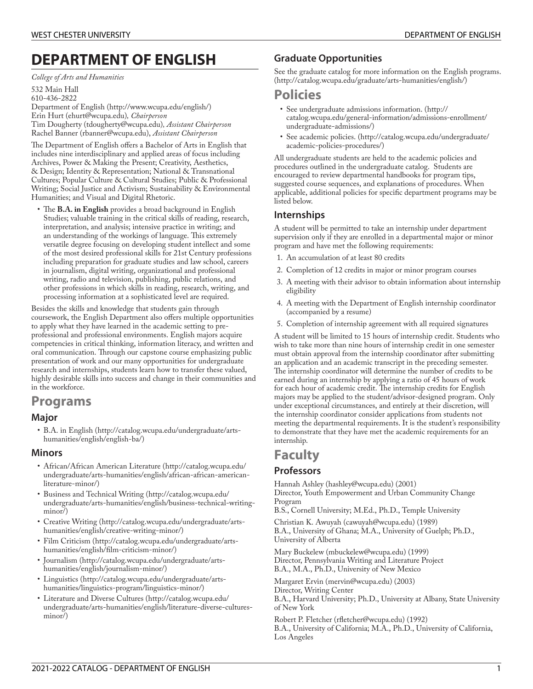# **DEPARTMENT OF ENGLISH**

*College of Arts and Humanities*

532 Main Hall 610-436-2822 [Department](http://www.wcupa.edu/english/) of English ([http://www.wcupa.edu/english/\)](http://www.wcupa.edu/english/) Erin [Hurt](mailto:ehurt@wcupa.edu) [\(ehurt@wcupa.edu\)](ehurt@wcupa.edu)*, Chairperson* Tim [Dougherty](mailto:tdougherty@wcupa.edu) [\(tdougherty@wcupa.edu](tdougherty@wcupa.edu))*, Assistant Chairperson* Rachel [Banner](mailto:rbanner@wcupa.edu) (<rbanner@wcupa.edu>), *Assistant Chairperson*

The Department of English offers a Bachelor of Arts in English that includes nine interdisciplinary and applied areas of focus including Archives, Power & Making the Present; Creativity, Aesthetics, & Design; Identity & Representation; National & Transnational Cultures; Popular Culture & Cultural Studies; Public & Professional Writing; Social Justice and Activism; Sustainability & Environmental Humanities; and Visual and Digital Rhetoric.

• The B.A. in English provides a broad background in English Studies; valuable training in the critical skills of reading, research, interpretation, and analysis; intensive practice in writing; and an understanding of the workings of language. This extremely versatile degree focusing on developing student intellect and some of the most desired professional skills for 21st Century professions including preparation for graduate studies and law school, careers in journalism, digital writing, organizational and professional writing, radio and television, publishing, public relations, and other professions in which skills in reading, research, writing, and processing information at a sophisticated level are required.

Besides the skills and knowledge that students gain through coursework, the English Department also offers multiple opportunities to apply what they have learned in the academic setting to preprofessional and professional environments. English majors acquire competencies in critical thinking, information literacy, and written and oral communication. Through our capstone course emphasizing public presentation of work and our many opportunities for undergraduate research and internships, students learn how to transfer these valued, highly desirable skills into success and change in their communities and in the workforce.

# **Programs**

# **Major**

• B.A. in [English \(http://catalog.wcupa.edu/undergraduate/arts](http://catalog.wcupa.edu/undergraduate/arts-humanities/english/english-ba/)[humanities/english/english-ba/\)](http://catalog.wcupa.edu/undergraduate/arts-humanities/english/english-ba/)

# **Minors**

- [African/African](http://catalog.wcupa.edu/undergraduate/arts-humanities/english/african-african-american-literature-minor/) American Literature ([http://catalog.wcupa.edu/](http://catalog.wcupa.edu/undergraduate/arts-humanities/english/african-african-american-literature-minor/) [undergraduate/arts-humanities/english/african-african-american](http://catalog.wcupa.edu/undergraduate/arts-humanities/english/african-african-american-literature-minor/)[literature-minor/](http://catalog.wcupa.edu/undergraduate/arts-humanities/english/african-african-american-literature-minor/))
- Business and [Technical](http://catalog.wcupa.edu/undergraduate/arts-humanities/english/business-technical-writing-minor/) Writing ([http://catalog.wcupa.edu/](http://catalog.wcupa.edu/undergraduate/arts-humanities/english/business-technical-writing-minor/) [undergraduate/arts-humanities/english/business-technical-writing](http://catalog.wcupa.edu/undergraduate/arts-humanities/english/business-technical-writing-minor/)[minor/](http://catalog.wcupa.edu/undergraduate/arts-humanities/english/business-technical-writing-minor/))
- [Creative](http://catalog.wcupa.edu/undergraduate/arts-humanities/english/creative-writing-minor/) Writing ([http://catalog.wcupa.edu/undergraduate/arts](http://catalog.wcupa.edu/undergraduate/arts-humanities/english/creative-writing-minor/)[humanities/english/creative-writing-minor/](http://catalog.wcupa.edu/undergraduate/arts-humanities/english/creative-writing-minor/))
- Film [Criticism \(http://catalog.wcupa.edu/undergraduate/arts](http://catalog.wcupa.edu/undergraduate/arts-humanities/english/film-criticism-minor/)[humanities/english/lm-criticism-minor/](http://catalog.wcupa.edu/undergraduate/arts-humanities/english/film-criticism-minor/))
- [Journalism \(http://catalog.wcupa.edu/undergraduate/arts](http://catalog.wcupa.edu/undergraduate/arts-humanities/english/journalism-minor/)[humanities/english/journalism-minor/\)](http://catalog.wcupa.edu/undergraduate/arts-humanities/english/journalism-minor/)
- [Linguistics \(http://catalog.wcupa.edu/undergraduate/arts](http://catalog.wcupa.edu/undergraduate/arts-humanities/linguistics-program/linguistics-minor/)[humanities/linguistics-program/linguistics-minor/\)](http://catalog.wcupa.edu/undergraduate/arts-humanities/linguistics-program/linguistics-minor/)
- [Literature](http://catalog.wcupa.edu/undergraduate/arts-humanities/english/literature-diverse-cultures-minor/) and Diverse Cultures [\(http://catalog.wcupa.edu/](http://catalog.wcupa.edu/undergraduate/arts-humanities/english/literature-diverse-cultures-minor/) [undergraduate/arts-humanities/english/literature-diverse-cultures](http://catalog.wcupa.edu/undergraduate/arts-humanities/english/literature-diverse-cultures-minor/)[minor/](http://catalog.wcupa.edu/undergraduate/arts-humanities/english/literature-diverse-cultures-minor/))

# **Graduate Opportunities**

See the graduate catalog for more [information](http://catalog.wcupa.edu/graduate/arts-humanities/english/) on the English programs. ([http://catalog.wcupa.edu/graduate/arts-humanities/english/\)](http://catalog.wcupa.edu/graduate/arts-humanities/english/)

# **Policies**

- See [undergraduate](http://catalog.wcupa.edu/general-information/admissions-enrollment/undergraduate-admissions/) admissions information. ([http://](http://catalog.wcupa.edu/general-information/admissions-enrollment/undergraduate-admissions/) [catalog.wcupa.edu/general-information/admissions-enrollment/](http://catalog.wcupa.edu/general-information/admissions-enrollment/undergraduate-admissions/) [undergraduate-admissions/](http://catalog.wcupa.edu/general-information/admissions-enrollment/undergraduate-admissions/))
- See [academic](http://catalog.wcupa.edu/undergraduate/academic-policies-procedures/) policies. [\(http://catalog.wcupa.edu/undergraduate/](http://catalog.wcupa.edu/undergraduate/academic-policies-procedures/) [academic-policies-procedures/\)](http://catalog.wcupa.edu/undergraduate/academic-policies-procedures/)

All undergraduate students are held to the academic policies and procedures outlined in the undergraduate catalog. Students are encouraged to review departmental handbooks for program tips, suggested course sequences, and explanations of procedures. When applicable, additional policies for specific department programs may be listed below.

# **Internships**

A student will be permitted to take an internship under department supervision only if they are enrolled in a departmental major or minor program and have met the following requirements:

- 1. An accumulation of at least 80 credits
- 2. Completion of 12 credits in major or minor program courses
- 3. A meeting with their advisor to obtain information about internship eligibility
- 4. A meeting with the Department of English internship coordinator (accompanied by a resume)
- 5. Completion of internship agreement with all required signatures

A student will be limited to 15 hours of internship credit. Students who wish to take more than nine hours of internship credit in one semester must obtain approval from the internship coordinator after submitting an application and an academic transcript in the preceding semester. The internship coordinator will determine the number of credits to be earned during an internship by applying a ratio of 45 hours of work for each hour of academic credit. The internship credits for English majors may be applied to the student/advisor-designed program. Only under exceptional circumstances, and entirely at their discretion, will the internship coordinator consider applications from students not meeting the departmental requirements. It is the student's responsibility to demonstrate that they have met the academic requirements for an internship.

# **Faculty**

# **Professors**

[Hannah](mailto:hashley@wcupa.edu) Ashley [\(hashley@wcupa.edu](hashley@wcupa.edu)) (2001) Director, Youth Empowerment and Urban Community Change Program

B.S., Cornell University; M.Ed., Ph.D., Temple University

[Christian](mailto:cawuyah@wcupa.edu) K. Awuyah ([cawuyah@wcupa.edu\)](cawuyah@wcupa.edu) (1989) B.A., University of Ghana; M.A., University of Guelph; Ph.D., University of Alberta

Mary [Buckelew](mailto:mbuckelew@wcupa.edu) ([mbuckelew@wcupa.edu\)](mbuckelew@wcupa.edu) (1999) Director, Pennsylvania Writing and Literature Project B.A., M.A., Ph.D., University of New Mexico

[Margaret](mailto:mervin@wcupa.edu) Ervin ([mervin@wcupa.edu\)](mervin@wcupa.edu) (2003) Director, Writing Center B.A., Harvard University; Ph.D., University at Albany, State University of New York

Robert P. [Fletcher](mailto:rfletcher@wcupa.edu) (rfletcher@wcupa.edu) (1992) B.A., University of California; M.A., Ph.D., University of California, Los Angeles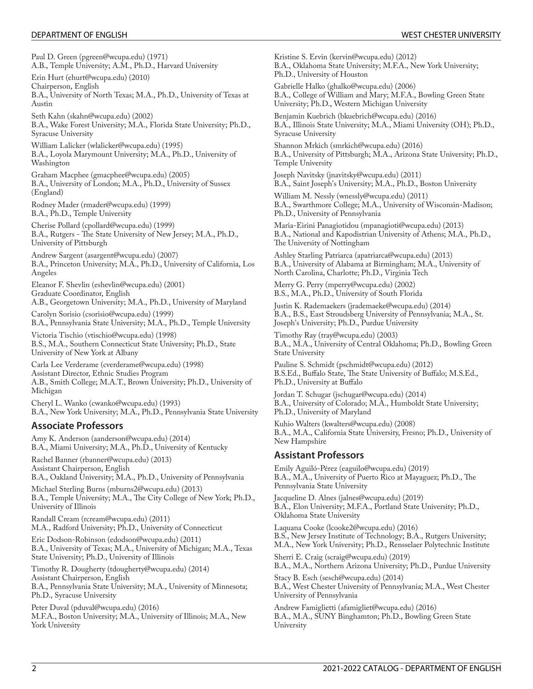Paul D. [Green](mailto:pgreen@wcupa.edu) ([pgreen@wcupa.edu\)](pgreen@wcupa.edu) (1971) A.B., Temple University; A.M., Ph.D., Harvard University

Erin [Hurt](mailto:ehurt@wcupa.edu) [\(ehurt@wcupa.edu\)](ehurt@wcupa.edu) (2010)

Chairperson, English B.A., University of North Texas; M.A., Ph.D., University of Texas at Austin

Seth [Kahn](mailto:skahn@wcupa.edu) [\(skahn@wcupa.edu\)](skahn@wcupa.edu) (2002) B.A., Wake Forest University; M.A., Florida State University; Ph.D., Syracuse University

[William](mailto:wlalicker@wcupa.edu) Lalicker ([wlalicker@wcupa.edu\)](wlalicker@wcupa.edu) (1995) B.A., Loyola Marymount University; M.A., Ph.D., University of Washington

Graham [Macphee](mailto:gmacphee@wcupa.edu) [\(gmacphee@wcupa.edu\)](gmacphee@wcupa.edu) (2005) B.A., University of London; M.A., Ph.D., University of Sussex (England)

[Rodney](mailto:rmader@wcupa.edu) Mader ([rmader@wcupa.edu\)](rmader@wcupa.edu) (1999) B.A., Ph.D., Temple University

[Cherise](mailto:cpollard@wcupa.edu) Pollard [\(cpollard@wcupa.edu](cpollard@wcupa.edu)) (1999) B.A., Rutgers - The State University of New Jersey; M.A., Ph.D., University of Pittsburgh

[Andrew](mailto:asargent@wcupa.edu) Sargent ([asargent@wcupa.edu\)](asargent@wcupa.edu) (2007) B.A., Princeton University; M.A., Ph.D., University of California, Los Angeles

[Eleanor](mailto:eshevlin@wcupa.edu) F. Shevlin [\(eshevlin@wcupa.edu](eshevlin@wcupa.edu)) (2001) Graduate Coordinator, English

A.B., Georgetown University; M.A., Ph.D., University of Maryland

[Carolyn](mailto:csorisio@wcupa.edu) Sorisio (<csorisio@wcupa.edu>) (1999) B.A., Pennsylvania State University; M.A., Ph.D., Temple University

[Victoria](mailto:vtischio@wcupa.edu) Tischio ([vtischio@wcupa.edu\)](vtischio@wcupa.edu) (1998) B.S., M.A., Southern Connecticut State University; Ph.D., State University of New York at Albany

Carla Lee [Verderame](mailto:cverderame@wcupa.edu) ([cverderame@wcupa.edu\)](cverderame@wcupa.edu) (1998) Assistant Director, Ethnic Studies Program A.B., Smith College; M.A.T., Brown University; Ph.D., University of Michigan

Cheryl L. [Wanko](mailto:cwanko@wcupa.edu) [\(cwanko@wcupa.edu](cwanko@wcupa.edu)) (1993) B.A., New York University; M.A., Ph.D., Pennsylvania State University

# **Associate Professors**

Amy K. [Anderson](mailto:aanderson@wcupa.edu) ([aanderson@wcupa.edu\)](aanderson@wcupa.edu) (2014) B.A., Miami University; M.A., Ph.D., University of Kentucky Rachel [Banner](mailto:rbanner@wcupa.edu) (<rbanner@wcupa.edu>) (2013)

Assistant Chairperson, English B.A., Oakland University; M.A., Ph.D., University of Pennsylvania

[Michael](mailto:mburns2@wcupa.edu) Sterling Burns [\(mburns2@wcupa.edu](mburns2@wcupa.edu)) (2013) B.A., Temple University; M.A., The City College of New York; Ph.D., University of Illinois

[Randall](mailto:rcream@wcupa.edu) Cream [\(rcream@wcupa.edu](rcream@wcupa.edu)) (2011) M.A., Radford University; Ph.D., University of Connecticut

Eric [Dodson-Robinson](mailto:edodson@wcupa.edu) [\(edodson@wcupa.edu\)](edodson@wcupa.edu) (2011) B.A., University of Texas; M.A., University of Michigan; M.A., Texas State University; Ph.D., University of Illinois

Timothy R. [Dougherty](mailto:tdougherty@wcupa.edu) [\(tdougherty@wcupa.edu](tdougherty@wcupa.edu)) (2014) Assistant Chairperson, English B.A., Pennsylvania State University; M.A., University of Minnesota; Ph.D., Syracuse University

Peter [Duval](mailto:pduval@wcupa.edu) [\(pduval@wcupa.edu\)](pduval@wcupa.edu) (2016) M.F.A., Boston University; M.A., University of Illinois; M.A., New York University

[Kristine](mailto:kervin@wcupa.edu) S. Ervin ([kervin@wcupa.edu\)](kervin@wcupa.edu) (2012) B.A., Oklahoma State University; M.F.A., New York University; Ph.D., University of Houston

[Gabrielle](mailto:ghalko@wcupa.edu) Halko ([ghalko@wcupa.edu\)](ghalko@wcupa.edu) (2006) B.A., College of William and Mary; M.F.A., Bowling Green State University; Ph.D., Western Michigan University

[Benjamin](mailto:bkuebrich@wcupa.edu) Kuebrich [\(bkuebrich@wcupa.edu](bkuebrich@wcupa.edu)) (2016) B.A., Illinois State University; M.A., Miami University (OH); Ph.D., Syracuse University

[Shannon](mailto:smrkich@wcupa.edu) Mrkich [\(smrkich@wcupa.edu\)](smrkich@wcupa.edu) (2016) B.A., University of Pittsburgh; M.A., Arizona State University; Ph.D., Temple University

Joseph [Navitsky](mailto:jnavitsky@wcupa.edu) [\(jnavitsky@wcupa.edu](jnavitsky@wcupa.edu)) (2011) B.A., Saint Joseph's University; M.A., Ph.D., Boston University

[William](mailto:wnessly@wcupa.edu) M. Nessly ([wnessly@wcupa.edu\)](wnessly@wcupa.edu) (2011) B.A., Swarthmore College; M.A., University of Wisconsin-Madison; Ph.D., University of Pennsylvania

Maria-Eirini [Panagiotidou](mailto:mpanagioti@wcupa.edu) ([mpanagioti@wcupa.edu\)](mpanagioti@wcupa.edu) (2013) B.A., National and Kapodistrian University of Athens; M.A., Ph.D., The University of Nottingham

Ashley Starling [Patriarca](mailto:apatriarca@wcupa.edu) [\(apatriarca@wcupa.edu\)](apatriarca@wcupa.edu) (2013) B.A., University of Alabama at Birmingham; M.A., University of North Carolina, Charlotte; Ph.D., Virginia Tech

[Merry](mailto:mperry@wcupa.edu) G. Perry (<mperry@wcupa.edu>) (2002) B.S., M.A., Ph.D., University of South Florida

Justin K. [Rademaekers](mailto:jrademaeke@wcupa.edu) ([jrademaeke@wcupa.edu\)](jrademaeke@wcupa.edu) (2014) B.A., B.S., East Stroudsberg University of Pennsylvania; M.A., St. Joseph's University; Ph.D., Purdue University

[Timothy](mailto:tray@wcupa.edu) Ray ([tray@wcupa.edu\)](tray@wcupa.edu) (2003) B.A., M.A., University of Central Oklahoma; Ph.D., Bowling Green State University

Pauline S. [Schmidt](mailto:pschmidt@wcupa.edu) (<pschmidt@wcupa.edu>) (2012) B.S.Ed., Buffalo State, The State University of Buffalo; M.S.Ed., Ph.D., University at Buffalo

Jordan T. [Schugar](mailto:jschugar@wcupa.edu) ([jschugar@wcupa.edu\)](jschugar@wcupa.edu) (2014) B.A., University of Colorado; M.A., Humboldt State University; Ph.D., University of Maryland

Kuhio [Walters](mailto:kwalters@wcupa.edu) ([kwalters@wcupa.edu\)](kwalters@wcupa.edu) (2008) B.A., M.A., California State University, Fresno; Ph.D., University of New Hampshire

# **Assistant Professors**

Emily [Aguiló-Pérez](mailto:eaguilo@wcupa.edu) ([eaguilo@wcupa.edu\)](eaguilo@wcupa.edu) (2019) B.A., M.A., University of Puerto Rico at Mayaguez; Ph.D., The Pennsylvania State University

[Jacqueline](mailto:jalnes@wcupa.edu) D. Alnes (<jalnes@wcupa.edu>) (2019) B.A., Elon University; M.F.A., Portland State University; Ph.D., Oklahoma State University

[Laquana](mailto:lcooke2@wcupa.edu) Cooke ([lcooke2@wcupa.edu\)](lcooke2@wcupa.edu) (2016) B.S., New Jersey Institute of Technology; B.A., Rutgers University; M.A., New York University; Ph.D., Rensselaer Polytechnic Institute

[Sherri](mailto:scraig@wcupa.edu) E. Craig [\(scraig@wcupa.edu](scraig@wcupa.edu)) (2019) B.A., M.A., Northern Arizona University; Ph.D., Purdue University

[Stacy](mailto:sesch@wcupa.edu) B. Esch [\(sesch@wcupa.edu](sesch@wcupa.edu)) (2014) B.A., West Chester University of Pennsylvania; M.A., West Chester University of Pennsylvania

Andrew [Famiglietti](mailto:afamigliet@wcupa.edu) [\(afamigliet@wcupa.edu\)](afamigliet@wcupa.edu) (2016) B.A., M.A., SUNY Binghamton; Ph.D., Bowling Green State University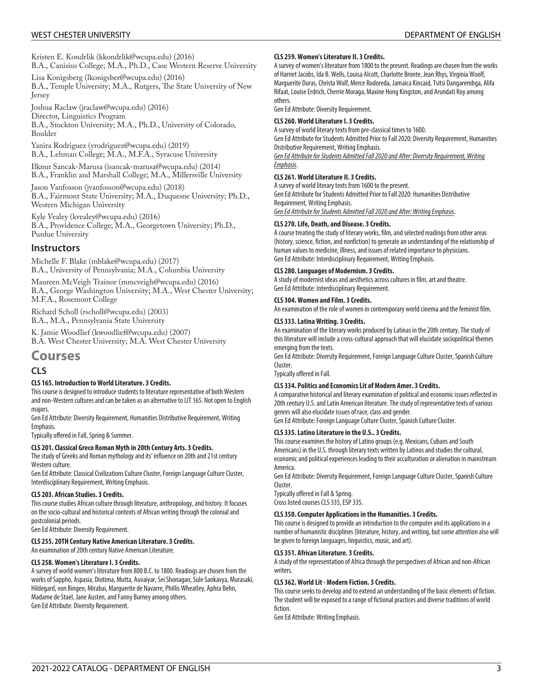Kristen E. [Kondrlik](mailto:kkondrlik@wcupa.edu) (<kkondrlik@wcupa.edu>) (2016) B.A., Canisius College; M.A., Ph.D., Case Western Reserve University

Lisa [Konigsberg](mailto:lkonigsber@wcupa.edu) [\(lkonigsber@wcupa.edu](lkonigsber@wcupa.edu)) (2016) B.A., Temple University; M.A., Rutgers, The State University of New Jersey

Joshua [Raclaw](mailto:jraclaw@wcupa.edu) ([jraclaw@wcupa.edu\)](jraclaw@wcupa.edu) (2016)

Director, Linguistics Program

B.A., Stockton University; M.A., Ph.D., University of Colorado, Boulder

Yanira [Rodriguez](mailto:yrodriguez@wcupa.edu) [\(yrodriguez@wcupa.edu](yrodriguez@wcupa.edu)) (2019) B.A., Lehman College; M.A., M.F.A., Syracuse University

Ilknur [Sancak-Marusa](mailto:isancak-marusa@wcupa.edu) [\(isancak-marusa@wcupa.edu](isancak-marusa@wcupa.edu)) (2014) B.A., Franklin and Marshall College; M.A., Millersville University

Jason [Vanfosson](mailto:jvanfosson@wcupa.edu) ([jvanfosson@wcupa.edu\)](jvanfosson@wcupa.edu) (2018) B.A., Fairmont State University; M.A., Duquesne University; Ph.D., Western Michigan University

Kyle [Vealey](mailto:kvealey@wcupa.edu) [\(kvealey@wcupa.edu\)](kvealey@wcupa.edu) (2016) B.A., Providence College; M.A., Georgetown University; Ph.D., Purdue University

# **Instructors**

[Michelle](mailto:mblake@wcupa.edu) F. Blake [\(mblake@wcupa.edu\)](mblake@wcupa.edu) (2017) B.A., University of Pennsylvania; M.A., Columbia University

Maureen [McVeigh](mailto:mmcveigh@wcupa.edu) Trainor [\(mmcveigh@wcupa.edu](mmcveigh@wcupa.edu)) (2016) B.A., George Washington University; M.A., West Chester University; M.F.A., Rosemont College

[Richard](mailto:rscholl@wcupa.edu) Scholl [\(rscholl@wcupa.edu](rscholl@wcupa.edu)) (2003) B.A., M.A., Pennsylvania State University

K. Jamie [Woodlief](mailto:kwoodlief@wcupa.edu) ([kwoodlief@wcupa.edu\)](kwoodlief@wcupa.edu) (2007) B.A. West Chester University; M.A. West Chester University

# **Courses**

# **CLS**

#### **CLS 165. Introduction to World Literature. 3 Credits.**

This course is designed to introduce students to literature representative of both Western and non-Western cultures and can be taken as an alternative to LIT 165. Not open to English majors.

Gen Ed Attribute: Diversity Requirement, Humanities Distributive Requirement, Writing Emphasis.

Typically offered in Fall, Spring & Summer.

#### **CLS 201. Classical Greco Roman Myth in 20th Century Arts. 3 Credits.**

The study of Greeks and Roman mythology and its' influence on 20th and 21st century Western culture.

Gen Ed Attribute: Classical Civilizations Culture Cluster, Foreign Language Culture Cluster, Interdisciplinary Requirement, Writing Emphasis.

#### **CLS 203. African Studies. 3 Credits.**

This course studies African culture through literature, anthropology, and history. It focuses on the socio-cultural and historical contexts of African writing through the colonial and postcolonial periods.

Gen Ed Attribute: Diversity Requirement.

#### **CLS 255. 20TH Century Native American Literature. 3 Credits.**

An examination of 20th century Native American Literature.

#### **CLS 258. Women's Literature I. 3 Credits.**

A survey of world women's literature from 800 B.C. to 1800. Readings are chosen from the works of Sappho, Aspasia, Diotima, Mutta, Auvaiyar, Sei Shonagan, Sule Sankavya, Murasaki, Hildegard, von Bingen, Mirabai, Marguerite de Navarre, Phillis Wheatley, Aphra Behn, Madame de Stael, Jane Austen, and Fanny Burney among others. Gen Ed Attribute: Diversity Requirement.

#### **CLS 259. Women's Literature II. 3 Credits.**

A survey of women's literature from 1800 to the present. Readings are chosen from the works of Harriet Jacobs, Ida B. Wells, Louisa Alcott, Charlotte Bronte, Jean Rhys, Virginia Woolf, Marguerite Duras, Christa Wolf, Merce Rodoreda, Jamaica Kincaid, Tsitsi Dangarembga, Alifa Rifaat, Louise Erdrich, Cherrie Moraga, Maxine Hong Kingston, and Arundati Roy among others.

Gen Ed Attribute: Diversity Requirement.

#### **CLS 260. World Literature I. 3 Credits.**

A survey of world literary texts from pre-classical times to 1600. Gen Ed Attribute for Students Admitted Prior to Fall 2020: Diversity Requirement, Humanities Distributive Requirement, Writing Emphasis.

*Gen Ed Attribute for Students Admitted Fall 2020 and After: Diversity Requirement, Writing Emphasis*.

#### **CLS 261. World Literature II. 3 Credits.**

A survey of world literary texts from 1600 to the present. Gen Ed Attribute for Students Admitted Prior to Fall 2020: Humanities Distributive Requirement, Writing Emphasis.

*Gen Ed Attribute for Students Admitted Fall 2020 and After: Writing Emphasis*.

#### **CLS 270. Life, Death, and Disease. 3 Credits.**

A course treating the study of literary works, film, and selected readings from other areas (history, science, fiction, and nonfiction) to generate an understanding of the relationship of human values to medicine, illness, and issues of related importance to physicians. Gen Ed Attribute: Interdisciplinary Requirement, Writing Emphasis.

#### **CLS 280. Languages of Modernism. 3 Credits.**

A study of modernist ideas and aesthetics across cultures in film, art and theatre. Gen Ed Attribute: Interdisciplinary Requirement.

#### **CLS 304. Women and Film. 3 Credits.**

An examination of the role of women in contemporary world cinema and the feminist film.

#### **CLS 333. Latina Writing. 3 Credits.**

An examination of the literary works produced by Latinas in the 20th century. The study of this literature will include a cross-cultural approach that will elucidate sociopolitical themes emerging from the texts.

Gen Ed Attribute: Diversity Requirement, Foreign Language Culture Cluster, Spanish Culture Cluster.

Typically offered in Fall.

#### **CLS 334. Politics and Economics Lit of Modern Amer. 3 Credits.**

A comparative historical and literary examination of political and economic issues reflected in 20th century U.S. and Latin American literature. The study of representative texts of various genres will also elucidate issues of race, class and gender.

Gen Ed Attribute: Foreign Language Culture Cluster, Spanish Culture Cluster.

#### **CLS 335. Latino Literature in the U.S.. 3 Credits.**

This course examines the history of Latino groups (e.g. Mexicans, Cubans and South Americans) in the U.S. through literary texts written by Latinos and studies the cultural, economic and political experiences leading to their acculturation or alienation in mainstream America.

Gen Ed Attribute: Diversity Requirement, Foreign Language Culture Cluster, Spanish Culture Cluster.

Typically offered in Fall & Spring. Cross listed courses CLS 335, ESP 335.

#### **CLS 350. Computer Applications in the Humanities. 3 Credits.**

This course is designed to provide an introduction to the computer and its applications in a number of humanistic disciplines (literature, history, and writing, but some attention also will be given to foreign languages, linguistics, music, and art).

#### **CLS 351. African Literature. 3 Credits.**

A study of the representation of Africa through the perspectives of African and non-African writers.

#### **CLS 362. World Lit - Modern Fiction. 3 Credits.**

This course seeks to develop and to extend an understanding of the basic elements of fiction. The student will be exposed to a range of fictional practices and diverse traditions of world fiction.

Gen Ed Attribute: Writing Emphasis.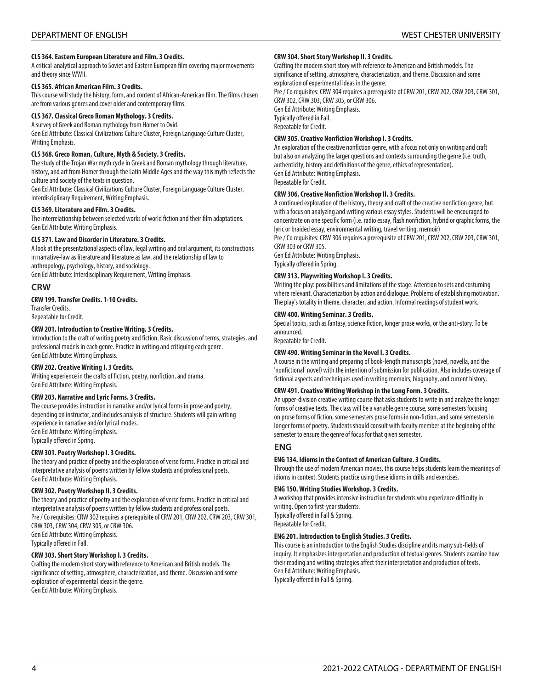#### **CLS 364. Eastern European Literature and Film. 3 Credits.**

A critical-analytical approach to Soviet and Eastern European film covering major movements and theory since WWII.

#### **CLS 365. African American Film. 3 Credits.**

This course will study the history, form, and content of African-American film. The films chosen are from various genres and cover older and contemporary films.

#### **CLS 367. Classical Greco Roman Mythology. 3 Credits.**

A survey of Greek and Roman mythology from Homer to Ovid. Gen Ed Attribute: Classical Civilizations Culture Cluster, Foreign Language Culture Cluster, Writing Emphasis.

#### **CLS 368. Greco Roman, Culture, Myth & Society. 3 Credits.**

The study of the Trojan War myth cycle in Greek and Roman mythology through literature, history, and art from Homer through the Latin Middle Ages and the way this myth reflects the culture and society of the texts in question.

Gen Ed Attribute: Classical Civilizations Culture Cluster, Foreign Language Culture Cluster, Interdisciplinary Requirement, Writing Emphasis.

#### **CLS 369. Literature and Film. 3 Credits.**

The interrelationship between selected works of world fiction and their film adaptations. Gen Ed Attribute: Writing Emphasis.

#### **CLS 371. Law and Disorder in Literature. 3 Credits.**

A look at the presentational aspects of law, legal writing and oral argument, its constructions in narrative-law as literature and literature as law, and the relationship of law to anthropology, psychology, history, and sociology.

Gen Ed Attribute: Interdisciplinary Requirement, Writing Emphasis.

### **CRW**

#### **CRW 199. Transfer Credits. 1-10 Credits.**

Transfer Credits. Repeatable for Credit.

#### **CRW 201. Introduction to Creative Writing. 3 Credits.**

Introduction to the craft of writing poetry and fiction. Basic discussion of terms, strategies, and professional models in each genre. Practice in writing and critiquing each genre. Gen Ed Attribute: Writing Emphasis.

#### **CRW 202. Creative Writing I. 3 Credits.**

Writing experience in the crafts of fiction, poetry, nonfiction, and drama. Gen Ed Attribute: Writing Emphasis.

#### **CRW 203. Narrative and Lyric Forms. 3 Credits.**

The course provides instruction in narrative and/or lyrical forms in prose and poetry, depending on instructor, and includes analysis of structure. Students will gain writing experience in narrative and/or lyrical modes. Gen Ed Attribute: Writing Emphasis. Typically offered in Spring.

#### **CRW 301. Poetry Workshop I. 3 Credits.**

The theory and practice of poetry and the exploration of verse forms. Practice in critical and interpretative analysis of poems written by fellow students and professional poets. Gen Ed Attribute: Writing Emphasis.

#### **CRW 302. Poetry Workshop II. 3 Credits.**

The theory and practice of poetry and the exploration of verse forms. Practice in critical and interpretative analysis of poems written by fellow students and professional poets. Pre / Co requisites: CRW 302 requires a prerequisite of CRW 201, CRW 202, CRW 203, CRW 301, CRW 303, CRW 304, CRW 305, or CRW 306. Gen Ed Attribute: Writing Emphasis. Typically offered in Fall.

#### **CRW 303. Short Story Workshop I. 3 Credits.**

Crafting the modern short story with reference to American and British models. The significance of setting, atmosphere, characterization, and theme. Discussion and some exploration of experimental ideas in the genre. Gen Ed Attribute: Writing Emphasis.

#### **CRW 304. Short Story Workshop II. 3 Credits.**

Crafting the modern short story with reference to American and British models. The significance of setting, atmosphere, characterization, and theme. Discussion and some exploration of experimental ideas in the genre. Pre / Co requisites: CRW 304 requires a prerequisite of CRW 201, CRW 202, CRW 203, CRW 301,

CRW 302, CRW 303, CRW 305, or CRW 306. Gen Ed Attribute: Writing Emphasis. Typically offered in Fall. Repeatable for Credit.

#### **CRW 305. Creative Nonfiction Workshop I. 3 Credits.**

An exploration of the creative nonfiction genre, with a focus not only on writing and craft but also on analyzing the larger questions and contexts surrounding the genre (i.e. truth, authenticity, history and definitions of the genre, ethics of representation). Gen Ed Attribute: Writing Emphasis. Repeatable for Credit.

#### **CRW 306. Creative Nonfiction Workshop II. 3 Credits.**

A continued exploration of the history, theory and craft of the creative nonfiction genre, but with a focus on analyzing and writing various essay styles. Students will be encouraged to concentrate on one specific form (i.e. radio essay, flash nonfiction, hybrid or graphic forms, the lyric or braided essay, environmental writing, travel writing, memoir)

Pre / Co requisites: CRW 306 requires a prerequisite of CRW 201, CRW 202, CRW 203, CRW 301, CRW 303 or CRW 305.

Gen Ed Attribute: Writing Emphasis. Typically offered in Spring.

#### **CRW 313. Playwriting Workshop I. 3 Credits.**

Writing the play: possibilities and limitations of the stage. Attention to sets and costuming where relevant. Characterization by action and dialogue. Problems of establishing motivation. The play's totality in theme, character, and action. Informal readings of student work.

#### **CRW 400. Writing Seminar. 3 Credits.**

Special topics, such as fantasy, science fiction, longer prose works, or the anti-story. To be announced.

Repeatable for Credit.

#### **CRW 490. Writing Seminar in the Novel I. 3 Credits.**

A course in the writing and preparing of book-length manuscripts (novel, novella, and the 'nonfictional' novel) with the intention of submission for publication. Also includes coverage of fictional aspects and techniques used in writing memoirs, biography, and current history.

#### **CRW 491. Creative Writing Workshop in the Long Form. 3 Credits.**

An upper-division creative writing course that asks students to write in and analyze the longer forms of creative texts. The class will be a variable genre course, some semesters focusing on prose forms of fiction, some semesters prose forms in non-fiction, and some semesters in longer forms of poetry. Students should consult with faculty member at the beginning of the semester to ensure the genre of focus for that given semester.

#### **ENG**

#### **ENG 134. Idioms in the Context of American Culture. 3 Credits.**

Through the use of modern American movies, this course helps students learn the meanings of idioms in context. Students practice using these idioms in drills and exercises.

#### **ENG 150. Writing Studies Workshop. 3 Credits.**

A workshop that provides intensive instruction for students who experience difficulty in writing. Open to first-year students. Typically offered in Fall & Spring. Repeatable for Credit.

#### **ENG 201. Introduction to English Studies. 3 Credits.**

This course is an introduction to the English Studies discipline and its many sub-fields of inquiry. It emphasizes interpretation and production of textual genres. Students examine how their reading and writing strategies affect their interpretation and production of texts. Gen Ed Attribute: Writing Emphasis. Typically offered in Fall & Spring.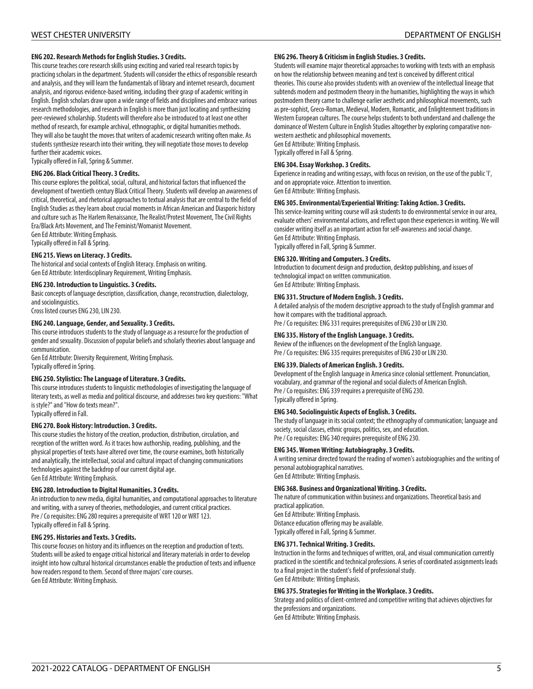#### **ENG 202. Research Methods for English Studies. 3 Credits.**

This course teaches core research skills using exciting and varied real research topics by practicing scholars in the department. Students will consider the ethics of responsible research and analysis, and they will learn the fundamentals of library and internet research, document analysis, and rigorous evidence-based writing, including their grasp of academic writing in English. English scholars draw upon a wide range of fields and disciplines and embrace various research methodologies, and research in English is more than just locating and synthesizing peer-reviewed scholarship. Students will therefore also be introduced to at least one other method of research, for example archival, ethnographic, or digital humanities methods. They will also be taught the moves that writers of academic research writing often make. As students synthesize research into their writing, they will negotiate those moves to develop further their academic voices.

Typically offered in Fall, Spring & Summer.

#### **ENG 206. Black Critical Theory. 3 Credits.**

This course explores the political, social, cultural, and historical factors that influenced the development of twentieth century Black Critical Theory. Students will develop an awareness of critical, theoretical, and rhetorical approaches to textual analysis that are central to the field of English Studies as they learn about crucial moments in African American and Diasporic history and culture such as The Harlem Renaissance, The Realist/Protest Movement, The Civil Rights Era/Black Arts Movement, and The Feminist/Womanist Movement. Gen Ed Attribute: Writing Emphasis.

Typically offered in Fall & Spring.

#### **ENG 215. Views on Literacy. 3 Credits.**

The historical and social contexts of English literacy. Emphasis on writing. Gen Ed Attribute: Interdisciplinary Requirement, Writing Emphasis.

# **ENG 230. Introduction to Linguistics. 3 Credits.**

Basic concepts of language description, classification, change, reconstruction, dialectology, and sociolinguistics.

Cross listed courses ENG 230, LIN 230.

#### **ENG 240. Language, Gender, and Sexuality. 3 Credits.**

This course introduces students to the study of language as a resource for the production of gender and sexuality. Discussion of popular beliefs and scholarly theories about language and communication.

Gen Ed Attribute: Diversity Requirement, Writing Emphasis. Typically offered in Spring.

#### **ENG 250. Stylistics: The Language of Literature. 3 Credits.**

This course introduces students to linguistic methodologies of investigating the language of literary texts, as well as media and political discourse, and addresses two key questions: "What is style?" and "How do texts mean?". Typically offered in Fall.

#### **ENG 270. Book History: Introduction. 3 Credits.**

This course studies the history of the creation, production, distribution, circulation, and reception of the written word. As it traces how authorship, reading, publishing, and the physical properties of texts have altered over time, the course examines, both historically and analytically, the intellectual, social and cultural impact of changing communications technologies against the backdrop of our current digital age. Gen Ed Attribute: Writing Emphasis.

#### **ENG 280. Introduction to Digital Humanities. 3 Credits.**

An introduction to new media, digital humanities, and computational approaches to literature and writing, with a survey of theories, methodologies, and current critical practices. Pre / Co requisites: ENG 280 requires a prerequisite of WRT 120 or WRT 123. Typically offered in Fall & Spring.

#### **ENG 295. Histories and Texts. 3 Credits.**

This course focuses on history and its influences on the reception and production of texts. Students will be asked to engage critical historical and literary materials in order to develop insight into how cultural historical circumstances enable the production of texts and influence how readers respond to them. Second of three majors' core courses. Gen Ed Attribute: Writing Emphasis.

#### **ENG 296. Theory & Criticism in English Studies. 3 Credits.**

Students will examine major theoretical approaches to working with texts with an emphasis on how the relationship between meaning and text is conceived by different critical theories. This course also provides students with an overview of the intellectual lineage that subtends modern and postmodern theory in the humanities, highlighting the ways in which postmodern theory came to challenge earlier aesthetic and philosophical movements, such as pre-sophist, Greco-Roman, Medieval, Modern, Romantic, and Enlightenment traditions in Western European cultures. The course helps students to both understand and challenge the dominance of Western Culture in English Studies altogether by exploring comparative nonwestern aesthetic and philosophical movements. Gen Ed Attribute: Writing Emphasis.

Typically offered in Fall & Spring.

#### **ENG 304. Essay Workshop. 3 Credits.**

Experience in reading and writing essays, with focus on revision, on the use of the public 'I', and on appropriate voice. Attention to invention. Gen Ed Attribute: Writing Emphasis.

#### **ENG 305. Environmental/Experiential Writing: Taking Action. 3 Credits.**

This service-learning writing course will ask students to do environmental service in our area, evaluate others' environmental actions, and reflect upon these experiences in writing. We will consider writing itself as an important action for self-awareness and social change. Gen Ed Attribute: Writing Emphasis. Typically offered in Fall, Spring & Summer.

#### **ENG 320. Writing and Computers. 3 Credits.**

Introduction to document design and production, desktop publishing, and issues of technological impact on written communication. Gen Ed Attribute: Writing Emphasis.

#### **ENG 331. Structure of Modern English. 3 Credits.**

A detailed analysis of the modern descriptive approach to the study of English grammar and how it compares with the traditional approach. Pre / Co requisites: ENG 331 requires prerequisites of ENG 230 or LIN 230.

# **ENG 335. History of the English Language. 3 Credits.**

Review of the influences on the development of the English language. Pre / Co requisites: ENG 335 requires prerequisites of ENG 230 or LIN 230.

#### **ENG 339. Dialects of American English. 3 Credits.**

Development of the English language in America since colonial settlement. Pronunciation, vocabulary, and grammar of the regional and social dialects of American English. Pre / Co requisites: ENG 339 requires a prerequisite of ENG 230. Typically offered in Spring.

#### **ENG 340. Sociolinguistic Aspects of English. 3 Credits.**

The study of language in its social context; the ethnography of communication; language and society, social classes, ethnic groups, politics, sex, and education. Pre / Co requisites: ENG 340 requires prerequisite of ENG 230.

#### **ENG 345. Women Writing: Autobiography. 3 Credits.**

A writing seminar directed toward the reading of women's autobiographies and the writing of personal autobiographical narratives. Gen Ed Attribute: Writing Emphasis.

#### **ENG 368. Business and Organizational Writing. 3 Credits.**

The nature of communication within business and organizations. Theoretical basis and practical application.

Gen Ed Attribute: Writing Emphasis. Distance education offering may be available. Typically offered in Fall, Spring & Summer.

#### **ENG 371. Technical Writing. 3 Credits.**

Instruction in the forms and techniques of written, oral, and visual communication currently practiced in the scientific and technical professions. A series of coordinated assignments leads to a final project in the student's field of professional study. Gen Ed Attribute: Writing Emphasis.

#### **ENG 375. Strategies for Writing in the Workplace. 3 Credits.**

Strategy and politics of client-centered and competitive writing that achieves objectives for the professions and organizations. Gen Ed Attribute: Writing Emphasis.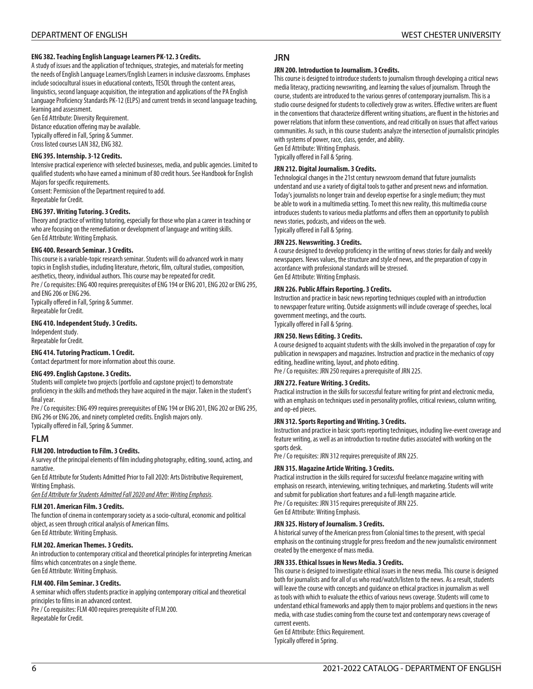#### **ENG 382. Teaching English Language Learners PK-12. 3 Credits.**

A study of issues and the application of techniques, strategies, and materials for meeting the needs of English Language Learners/English Learners in inclusive classrooms. Emphases include sociocultural issues in educational contexts, TESOL through the content areas, linguistics, second language acquisition, the integration and applications of the PA English Language Proficiency Standards PK-12 (ELPS) and current trends in second language teaching, learning and assessment.

Gen Ed Attribute: Diversity Requirement.

Distance education offering may be available. Typically offered in Fall, Spring & Summer. Cross listed courses LAN 382, ENG 382.

#### **ENG 395. Internship. 3-12 Credits.**

Intensive practical experience with selected businesses, media, and public agencies. Limited to qualified students who have earned a minimum of 80 credit hours. See Handbook for English Majors for specific requirements.

Consent: Permission of the Department required to add. Repeatable for Credit.

#### **ENG 397. Writing Tutoring. 3 Credits.**

Theory and practice of writing tutoring, especially for those who plan a career in teaching or who are focusing on the remediation or development of language and writing skills. Gen Ed Attribute: Writing Emphasis.

#### **ENG 400. Research Seminar. 3 Credits.**

This course is a variable-topic research seminar. Students will do advanced work in many topics in English studies, including literature, rhetoric, film, cultural studies, composition, aesthetics, theory, individual authors. This course may be repeated for credit.

Pre / Co requisites: ENG 400 requires prerequisites of ENG 194 or ENG 201, ENG 202 or ENG 295, and ENG 206 or ENG 296.

Typically offered in Fall, Spring & Summer. Repeatable for Credit.

#### **ENG 410. Independent Study. 3 Credits.**

Independent study. Repeatable for Credit.

#### **ENG 414. Tutoring Practicum. 1 Credit.**

Contact department for more information about this course.

#### **ENG 499. English Capstone. 3 Credits.**

Students will complete two projects (portfolio and capstone project) to demonstrate proficiency in the skills and methods they have acquired in the major. Taken in the student's final year.

Pre / Co requisites: ENG 499 requires prerequisites of ENG 194 or ENG 201, ENG 202 or ENG 295, ENG 296 or ENG 206, and ninety completed credits. English majors only. Typically offered in Fall, Spring & Summer.

# **FLM**

#### **FLM 200. Introduction to Film. 3 Credits.**

A survey of the principal elements of film including photography, editing, sound, acting, and narrative.

Gen Ed Attribute for Students Admitted Prior to Fall 2020: Arts Distributive Requirement, Writing Emphasis.

*Gen Ed Attribute for Students Admitted Fall 2020 and After: Writing Emphasis*.

#### **FLM 201. American Film. 3 Credits.**

The function of cinema in contemporary society as a socio-cultural, economic and political object, as seen through critical analysis of American films. Gen Ed Attribute: Writing Emphasis.

#### **FLM 202. American Themes. 3 Credits.**

An introduction to contemporary critical and theoretical principles for interpreting American films which concentrates on a single theme. Gen Ed Attribute: Writing Emphasis.

#### **FLM 400. Film Seminar. 3 Credits.**

A seminar which offers students practice in applying contemporary critical and theoretical principles to films in an advanced context. Pre / Co requisites: FLM 400 requires prerequisite of FLM 200. Repeatable for Credit.

# **JRN**

#### **JRN 200. Introduction to Journalism. 3 Credits.**

This course is designed to introduce students to journalism through developing a critical news media literacy, practicing newswriting, and learning the values of journalism. Through the course, students are introduced to the various genres of contemporary journalism. This is a studio course designed for students to collectively grow as writers. Effective writers are fluent in the conventions that characterize different writing situations, are fluent in the histories and power relations that inform these conventions, and read critically on issues that affect various communities. As such, in this course students analyze the intersection of journalistic principles with systems of power, race, class, gender, and ability.

Gen Ed Attribute: Writing Emphasis. Typically offered in Fall & Spring.

#### **JRN 212. Digital Journalism. 3 Credits.**

Technological changes in the 21st century newsroom demand that future journalists understand and use a variety of digital tools to gather and present news and information. Today's journalists no longer train and develop expertise for a single medium; they must be able to work in a multimedia setting. To meet this new reality, this multimedia course introduces students to various media platforms and offers them an opportunity to publish news stories, podcasts, and videos on the web. Typically offered in Fall & Spring.

#### **JRN 225. Newswriting. 3 Credits.**

A course designed to develop proficiency in the writing of news stories for daily and weekly newspapers. News values, the structure and style of news, and the preparation of copy in accordance with professional standards will be stressed. Gen Ed Attribute: Writing Emphasis.

#### **JRN 226. Public Affairs Reporting. 3 Credits.**

Instruction and practice in basic news reporting techniques coupled with an introduction to newspaper feature writing. Outside assignments will include coverage of speeches, local government meetings, and the courts. Typically offered in Fall & Spring.

**JRN 250. News Editing. 3 Credits.**

A course designed to acquaint students with the skills involved in the preparation of copy for publication in newspapers and magazines. Instruction and practice in the mechanics of copy editing, headline writing, layout, and photo editing.

#### Pre / Co requisites: JRN 250 requires a prerequisite of JRN 225.

#### **JRN 272. Feature Writing. 3 Credits.**

Practical instruction in the skills for successful feature writing for print and electronic media, with an emphasis on techniques used in personality profiles, critical reviews, column writing, and op-ed pieces.

#### **JRN 312. Sports Reporting and Writing. 3 Credits.**

Instruction and practice in basic sports reporting techniques, including live-event coverage and feature writing, as well as an introduction to routine duties associated with working on the sports desk.

Pre / Co requisites: JRN 312 requires prerequisite of JRN 225.

#### **JRN 315. Magazine Article Writing. 3 Credits.**

Practical instruction in the skills required for successful freelance magazine writing with emphasis on research, interviewing, writing techniques, and marketing. Students will write and submit for publication short features and a full-length magazine article. Pre / Co requisites: JRN 315 requires prerequisite of JRN 225. Gen Ed Attribute: Writing Emphasis.

**JRN 325. History of Journalism. 3 Credits.**

A historical survey of the American press from Colonial times to the present, with special emphasis on the continuing struggle for press freedom and the new journalistic environment created by the emergence of mass media.

#### **JRN 335. Ethical Issues in News Media. 3 Credits.**

This course is designed to investigate ethical issues in the news media. This course is designed both for journalists and for all of us who read/watch/listen to the news. As a result, students will leave the course with concepts and guidance on ethical practices in journalism as well as tools with which to evaluate the ethics of various news coverage. Students will come to understand ethical frameworks and apply them to major problems and questions in the news media, with case studies coming from the course text and contemporary news coverage of current events.

Gen Ed Attribute: Ethics Requirement. Typically offered in Spring.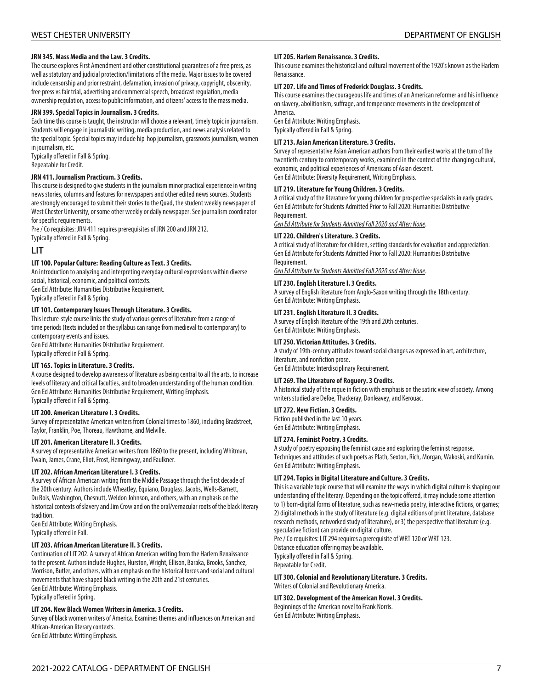#### **JRN 345. Mass Media and the Law. 3 Credits.**

The course explores First Amendment and other constitutional guarantees of a free press, as well as statutory and judicial protection/limitations of the media. Major issues to be covered include censorship and prior restraint, defamation, invasion of privacy, copyright, obscenity, free press vs fair trial, advertising and commercial speech, broadcast regulation, media ownership regulation, access to public information, and citizens' access to the mass media.

#### **JRN 399. Special Topics in Journalism. 3 Credits.**

Each time this course is taught, the instructor will choose a relevant, timely topic in journalism. Students will engage in journalistic writing, media production, and news analysis related to the special topic. Special topics may include hip-hop journalism, grassroots journalism, women in journalism, etc.

Typically offered in Fall & Spring. Repeatable for Credit.

#### **JRN 411. Journalism Practicum. 3 Credits.**

This course is designed to give students in the journalism minor practical experience in writing news stories, columns and features for newspapers and other edited news sources. Students are strongly encouraged to submit their stories to the Quad, the student weekly newspaper of West Chester University, or some other weekly or daily newspaper. See journalism coordinator for specific requirements.

Pre / Co requisites: JRN 411 requires prerequisites of JRN 200 and JRN 212.

Typically offered in Fall & Spring.

### **LIT**

#### **LIT 100. Popular Culture: Reading Culture as Text. 3 Credits.**

An introduction to analyzing and interpreting everyday cultural expressions within diverse social, historical, economic, and political contexts. Gen Ed Attribute: Humanities Distributive Requirement.

Typically offered in Fall & Spring.

#### **LIT 101. Contemporary Issues Through Literature. 3 Credits.**

This lecture-style course links the study of various genres of literature from a range of time periods (texts included on the syllabus can range from medieval to contemporary) to contemporary events and issues.

Gen Ed Attribute: Humanities Distributive Requirement. Typically offered in Fall & Spring.

#### **LIT 165. Topics in Literature. 3 Credits.**

A course designed to develop awareness of literature as being central to all the arts, to increase levels of literacy and critical faculties, and to broaden understanding of the human condition. Gen Ed Attribute: Humanities Distributive Requirement, Writing Emphasis. Typically offered in Fall & Spring.

#### **LIT 200. American Literature I. 3 Credits.**

Survey of representative American writers from Colonial times to 1860, including Bradstreet, Taylor, Franklin, Poe, Thoreau, Hawthorne, and Melville.

#### **LIT 201. American Literature II. 3 Credits.**

A survey of representative American writers from 1860 to the present, including Whitman, Twain, James, Crane, Eliot, Frost, Hemingway, and Faulkner.

#### **LIT 202. African American Literature I. 3 Credits.**

A survey of African American writing from the Middle Passage through the first decade of the 20th century. Authors include Wheatley, Equiano, Douglass, Jacobs, Wells-Barnett, Du Bois, Washington, Chesnutt, Weldon Johnson, and others, with an emphasis on the historical contexts of slavery and Jim Crow and on the oral/vernacular roots of the black literary tradition.

Gen Ed Attribute: Writing Emphasis.

Typically offered in Fall.

#### **LIT 203. African American Literature II. 3 Credits.**

Continuation of LIT 202. A survey of African American writing from the Harlem Renaissance to the present. Authors include Hughes, Hurston, Wright, Ellison, Baraka, Brooks, Sanchez, Morrison, Butler, and others, with an emphasis on the historical forces and social and cultural movements that have shaped black writing in the 20th and 21st centuries. Gen Ed Attribute: Writing Emphasis. Typically offered in Spring.

#### **LIT 204. New Black Women Writers in America. 3 Credits.**

Survey of black women writers of America. Examines themes and influences on American and African-American literary contexts. Gen Ed Attribute: Writing Emphasis.

#### **LIT 205. Harlem Renaissance. 3 Credits.**

This course examines the historical and cultural movement of the 1920's known as the Harlem Renaissance.

#### **LIT 207. Life and Times of Frederick Douglass. 3 Credits.**

This course examines the courageous life and times of an American reformer and his influence on slavery, abolitionism, suffrage, and temperance movements in the development of America.

Gen Ed Attribute: Writing Emphasis. Typically offered in Fall & Spring.

#### **LIT 213. Asian American Literature. 3 Credits.**

Survey of representative Asian American authors from their earliest works at the turn of the twentieth century to contemporary works, examined in the context of the changing cultural, economic, and political experiences of Americans of Asian descent. Gen Ed Attribute: Diversity Requirement, Writing Emphasis.

#### **LIT 219. Literature for Young Children. 3 Credits.**

A critical study of the literature for young children for prospective specialists in early grades. Gen Ed Attribute for Students Admitted Prior to Fall 2020: Humanities Distributive Requirement.

*Gen Ed Attribute for Students Admitted Fall 2020 and After: None*.

#### **LIT 220. Children's Literature. 3 Credits.**

A critical study of literature for children, setting standards for evaluation and appreciation. Gen Ed Attribute for Students Admitted Prior to Fall 2020: Humanities Distributive Requirement.

*Gen Ed Attribute for Students Admitted Fall 2020 and After: None*.

### **LIT 230. English Literature I. 3 Credits.**

A survey of English literature from Anglo-Saxon writing through the 18th century. Gen Ed Attribute: Writing Emphasis.

#### **LIT 231. English Literature II. 3 Credits.**

A survey of English literature of the 19th and 20th centuries. Gen Ed Attribute: Writing Emphasis.

#### **LIT 250. Victorian Attitudes. 3 Credits.**

A study of 19th-century attitudes toward social changes as expressed in art, architecture, literature, and nonfiction prose.

Gen Ed Attribute: Interdisciplinary Requirement.

#### **LIT 269. The Literature of Roguery. 3 Credits.**

A historical study of the rogue in fiction with emphasis on the satiric view of society. Among writers studied are Defoe, Thackeray, Donleavey, and Kerouac.

#### **LIT 272. New Fiction. 3 Credits.**

Fiction published in the last 10 years. Gen Ed Attribute: Writing Emphasis.

#### **LIT 274. Feminist Poetry. 3 Credits.**

A study of poetry espousing the feminist cause and exploring the feminist response. Techniques and attitudes of such poets as Plath, Sexton, Rich, Morgan, Wakoski, and Kumin. Gen Ed Attribute: Writing Emphasis.

#### **LIT 294. Topics in Digital Literature and Culture. 3 Credits.**

This is a variable topic course that will examine the ways in which digital culture is shaping our understanding of the literary. Depending on the topic offered, it may include some attention to 1) born-digital forms of literature, such as new-media poetry, interactive fictions, or games; 2) digital methods in the study of literature (e.g. digital editions of print literature, database research methods, networked study of literature), or 3) the perspective that literature (e.g. speculative fiction) can provide on digital culture.

Pre / Co requisites: LIT 294 requires a prerequisite of WRT 120 or WRT 123. Distance education offering may be available.

Typically offered in Fall & Spring.

Repeatable for Credit.

#### **LIT 300. Colonial and Revolutionary Literature. 3 Credits.** Writers of Colonial and Revolutionary America.

#### **LIT 302. Development of the American Novel. 3 Credits.**

Beginnings of the American novel to Frank Norris. Gen Ed Attribute: Writing Emphasis.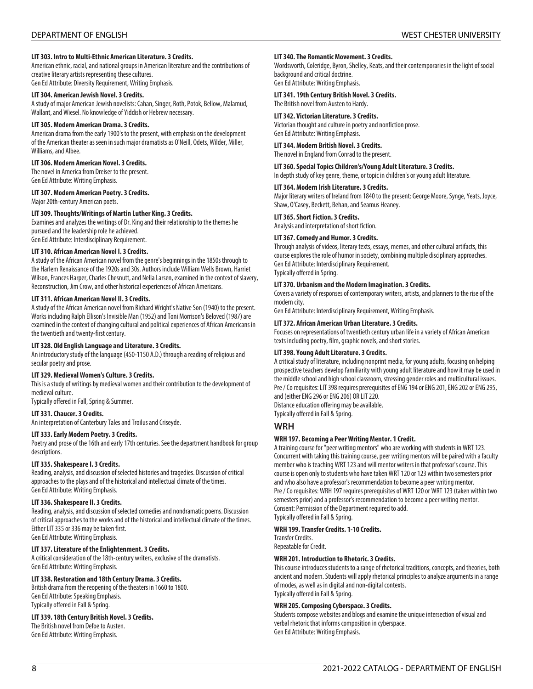#### **LIT 303. Intro to Multi-Ethnic American Literature. 3 Credits.**

American ethnic, racial, and national groups in American literature and the contributions of creative literary artists representing these cultures.

Gen Ed Attribute: Diversity Requirement, Writing Emphasis.

### **LIT 304. American Jewish Novel. 3 Credits.**

A study of major American Jewish novelists: Cahan, Singer, Roth, Potok, Bellow, Malamud, Wallant, and Wiesel. No knowledge of Yiddish or Hebrew necessary.

#### **LIT 305. Modern American Drama. 3 Credits.**

American drama from the early 1900's to the present, with emphasis on the development of the American theater as seen in such major dramatists as O'Neill, Odets, Wilder, Miller, Williams, and Albee.

### **LIT 306. Modern American Novel. 3 Credits.**

The novel in America from Dreiser to the present. Gen Ed Attribute: Writing Emphasis.

#### **LIT 307. Modern American Poetry. 3 Credits.**

Major 20th-century American poets.

#### **LIT 309. Thoughts/Writings of Martin Luther King. 3 Credits.**

Examines and analyzes the writings of Dr. King and their relationship to the themes he pursued and the leadership role he achieved. Gen Ed Attribute: Interdisciplinary Requirement.

# **LIT 310. African American Novel I. 3 Credits.**

A study of the African American novel from the genre's beginnings in the 1850s through to the Harlem Renaissance of the 1920s and 30s. Authors include William Wells Brown, Harriet Wilson, Frances Harper, Charles Chesnutt, and Nella Larsen, examined in the context of slavery, Reconstruction, Jim Crow, and other historical experiences of African Americans.

#### **LIT 311. African American Novel II. 3 Credits.**

A study of the African American novel from Richard Wright's Native Son (1940) to the present. Works including Ralph Ellison's Invisible Man (1952) and Toni Morrison's Beloved (1987) are examined in the context of changing cultural and political experiences of African Americans in the twentieth and twenty-first century.

#### **LIT 328. Old English Language and Literature. 3 Credits.**

An introductory study of the language (450-1150 A.D.) through a reading of religious and secular poetry and prose.

#### **LIT 329. Medieval Women's Culture. 3 Credits.**

This is a study of writings by medieval women and their contribution to the development of medieval culture.

Typically offered in Fall, Spring & Summer.

#### **LIT 331. Chaucer. 3 Credits.**

An interpretation of Canterbury Tales and Troilus and Criseyde.

#### **LIT 333. Early Modern Poetry. 3 Credits.**

Poetry and prose of the 16th and early 17th centuries. See the department handbook for group descriptions.

#### **LIT 335. Shakespeare I. 3 Credits.**

Reading, analysis, and discussion of selected histories and tragedies. Discussion of critical approaches to the plays and of the historical and intellectual climate of the times. Gen Ed Attribute: Writing Emphasis.

#### **LIT 336. Shakespeare II. 3 Credits.**

Reading, analysis, and discussion of selected comedies and nondramatic poems. Discussion of critical approaches to the works and of the historical and intellectual climate of the times. Either LIT 335 or 336 may be taken first. Gen Ed Attribute: Writing Emphasis.

#### **LIT 337. Literature of the Enlightenment. 3 Credits.**

A critical consideration of the 18th-century writers, exclusive of the dramatists. Gen Ed Attribute: Writing Emphasis.

#### **LIT 338. Restoration and 18th Century Drama. 3 Credits.**

British drama from the reopening of the theaters in 1660 to 1800. Gen Ed Attribute: Speaking Emphasis. Typically offered in Fall & Spring.

#### **LIT 339. 18th Century British Novel. 3 Credits.**

The British novel from Defoe to Austen. Gen Ed Attribute: Writing Emphasis.

#### **LIT 340. The Romantic Movement. 3 Credits.**

Wordsworth, Coleridge, Byron, Shelley, Keats, and their contemporaries in the light of social background and critical doctrine. Gen Ed Attribute: Writing Emphasis.

#### **LIT 341. 19th Century British Novel. 3 Credits.**

The British novel from Austen to Hardy.

#### **LIT 342. Victorian Literature. 3 Credits.**

Victorian thought and culture in poetry and nonfiction prose. Gen Ed Attribute: Writing Emphasis.

#### **LIT 344. Modern British Novel. 3 Credits.**

The novel in England from Conrad to the present.

#### **LIT 360. Special Topics Children's/Young Adult Literature. 3 Credits.**

In depth study of key genre, theme, or topic in children's or young adult literature.

#### **LIT 364. Modern Irish Literature. 3 Credits.**

Major literary writers of Ireland from 1840 to the present: George Moore, Synge, Yeats, Joyce, Shaw, O'Casey, Beckett, Behan, and Seamus Heaney.

#### **LIT 365. Short Fiction. 3 Credits.**

Analysis and interpretation of short fiction.

#### **LIT 367. Comedy and Humor. 3 Credits.**

Through analysis of videos, literary texts, essays, memes, and other cultural artifacts, this course explores the role of humor in society, combining multiple disciplinary approaches. Gen Ed Attribute: Interdisciplinary Requirement. Typically offered in Spring.

#### **LIT 370. Urbanism and the Modern Imagination. 3 Credits.**

Covers a variety of responses of contemporary writers, artists, and planners to the rise of the modern city.

Gen Ed Attribute: Interdisciplinary Requirement, Writing Emphasis.

#### **LIT 372. African American Urban Literature. 3 Credits.**

Focuses on representations of twentieth century urban life in a variety of African American texts including poetry, film, graphic novels, and short stories.

#### **LIT 398. Young Adult Literature. 3 Credits.**

A critical study of literature, including nonprint media, for young adults, focusing on helping prospective teachers develop familiarity with young adult literature and how it may be used in the middle school and high school classroom, stressing gender roles and multicultural issues. Pre / Co requisites: LIT 398 requires prerequisites of ENG 194 or ENG 201, ENG 202 or ENG 295, and (either ENG 296 or ENG 206) OR LIT 220.

Distance education offering may be available.

# Typically offered in Fall & Spring.

# **WRH**

#### **WRH 197. Becoming a Peer Writing Mentor. 1 Credit.**

A training course for "peer writing mentors" who are working with students in WRT 123. Concurrent with taking this training course, peer writing mentors will be paired with a faculty member who is teaching WRT 123 and will mentor writers in that professor's course. This course is open only to students who have taken WRT 120 or 123 within two semesters prior and who also have a professor's recommendation to become a peer writing mentor. Pre / Co requisites: WRH 197 requires prerequisites of WRT 120 or WRT 123 (taken within two semesters prior) and a professor's recommendation to become a peer writing mentor. Consent: Permission of the Department required to add. Typically offered in Fall & Spring.

# **WRH 199. Transfer Credits. 1-10 Credits.**

Transfer Credits.

Repeatable for Credit.

#### **WRH 201. Introduction to Rhetoric. 3 Credits.**

This course introduces students to a range of rhetorical traditions, concepts, and theories, both ancient and modern. Students will apply rhetorical principles to analyze arguments in a range of modes, as well as in digital and non-digital contexts. Typically offered in Fall & Spring.

#### **WRH 205. Composing Cyberspace. 3 Credits.**

Students compose websites and blogs and examine the unique intersection of visual and verbal rhetoric that informs composition in cyberspace. Gen Ed Attribute: Writing Emphasis.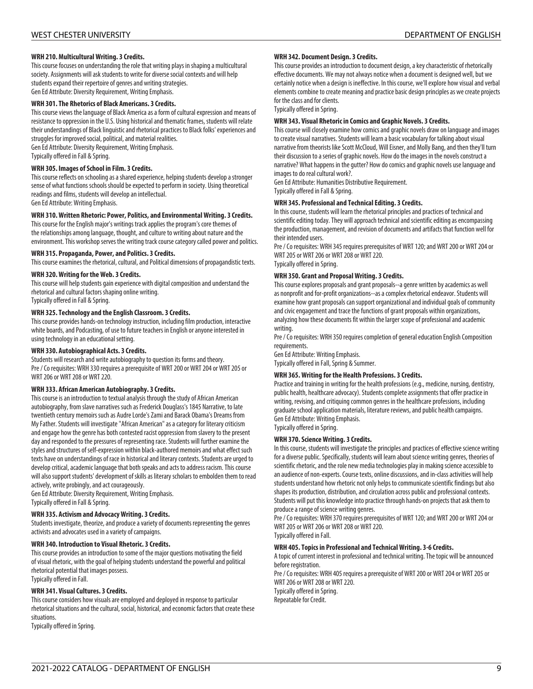#### **WRH 210. Multicultural Writing. 3 Credits.**

This course focuses on understanding the role that writing plays in shaping a multicultural society. Assignments will ask students to write for diverse social contexts and will help students expand their repertoire of genres and writing strategies. Gen Ed Attribute: Diversity Requirement, Writing Emphasis.

#### **WRH 301. The Rhetorics of Black Americans. 3 Credits.**

This course views the language of Black America as a form of cultural expression and means of resistance to oppression in the U.S. Using historical and thematic frames, students will relate their understandings of Black linguistic and rhetorical practices to Black folks' experiences and struggles for improved social, political, and material realities. Gen Ed Attribute: Diversity Requirement, Writing Emphasis. Typically offered in Fall & Spring.

**WRH 305. Images of School in Film. 3 Credits.**

This course reflects on schooling as a shared experience, helping students develop a stronger sense of what functions schools should be expected to perform in society. Using theoretical readings and films, students will develop an intellectual. Gen Ed Attribute: Writing Emphasis.

#### **WRH 310. Written Rhetoric: Power, Politics, and Environmental Writing. 3 Credits.**

This course for the English major's writings track applies the program's core themes of the relationships among language, thought, and culture to writing about nature and the environment. This workshop serves the writing track course category called power and politics.

#### **WRH 315. Propaganda, Power, and Politics. 3 Credits.**

This course examines the rhetorical, cultural, and Political dimensions of propagandistic texts.

#### **WRH 320. Writing for the Web. 3 Credits.**

This course will help students gain experience with digital composition and understand the rhetorical and cultural factors shaping online writing.

Typically offered in Fall & Spring.

#### **WRH 325. Technology and the English Classroom. 3 Credits.**

This course provides hands-on technology instruction, including film production, interactive white boards, and Podcasting, of use to future teachers in English or anyone interested in using technology in an educational setting.

#### **WRH 330. Autobiographical Acts. 3 Credits.**

Students will research and write autobiography to question its forms and theory. Pre / Co requisites: WRH 330 requires a prerequisite of WRT 200 or WRT 204 or WRT 205 or WRT 206 or WRT 208 or WRT 220.

#### **WRH 333. African American Autobiography. 3 Credits.**

This course is an introduction to textual analysis through the study of African American autobiography, from slave narratives such as Frederick Douglass's 1845 Narrative, to late twentieth century memoirs such as Audre Lorde's Zami and Barack Obama's Dreams from My Father. Students will investigate "African American" as a category for literary criticism and engage how the genre has both contested racist oppression from slavery to the present day and responded to the pressures of representing race. Students will further examine the styles and structures of self-expression within black-authored memoirs and what effect such texts have on understandings of race in historical and literary contexts. Students are urged to develop critical, academic language that both speaks and acts to address racism. This course will also support students' development of skills as literary scholars to embolden them to read actively, write probingly, and act courageously.

Gen Ed Attribute: Diversity Requirement, Writing Emphasis. Typically offered in Fall & Spring.

#### **WRH 335. Activism and Advocacy Writing. 3 Credits.**

Students investigate, theorize, and produce a variety of documents representing the genres activists and advocates used in a variety of campaigns.

#### **WRH 340. Introduction to Visual Rhetoric. 3 Credits.**

This course provides an introduction to some of the major questions motivating the field of visual rhetoric, with the goal of helping students understand the powerful and political rhetorical potential that images possess. Typically offered in Fall.

#### **WRH 341. Visual Cultures. 3 Credits.**

This course considers how visuals are employed and deployed in response to particular rhetorical situations and the cultural, social, historical, and economic factors that create these situations. Typically offered in Spring.

#### **WRH 342. Document Design. 3 Credits.**

This course provides an introduction to document design, a key characteristic of rhetorically effective documents. We may not always notice when a document is designed well, but we certainly notice when a design is ineffective. In this course, we'll explore how visual and verbal elements combine to create meaning and practice basic design principles as we create projects for the class and for clients.

Typically offered in Spring.

#### **WRH 343. Visual Rhetoric in Comics and Graphic Novels. 3 Credits.**

This course will closely examine how comics and graphic novels draw on language and images to create visual narratives. Students will learn a basic vocabulary for talking about visual narrative from theorists like Scott McCloud, Will Eisner, and Molly Bang, and then they'll turn their discussion to a series of graphic novels. How do the images in the novels construct a narrative? What happens in the gutter? How do comics and graphic novels use language and images to do real cultural work?.

Gen Ed Attribute: Humanities Distributive Requirement. Typically offered in Fall & Spring.

### **WRH 345. Professional and Technical Editing. 3 Credits.**

In this course, students will learn the rhetorical principles and practices of technical and scientific editing today. They will approach technical and scientific editing as encompassing the production, management, and revision of documents and artifacts that function well for their intended users.

Pre / Co requisites: WRH 345 requires prerequisites of WRT 120; and WRT 200 or WRT 204 or WRT 205 or WRT 206 or WRT 208 or WRT 220.

Typically offered in Spring.

#### **WRH 350. Grant and Proposal Writing. 3 Credits.**

This course explores proposals and grant proposals--a genre written by academics as well as nonprofit and for-profit organizations--as a complex rhetorical endeavor. Students will examine how grant proposals can support organizational and individual goals of community and civic engagement and trace the functions of grant proposals within organizations, analyzing how these documents fit within the larger scope of professional and academic writing.

Pre / Co requisites: WRH 350 requires completion of general education English Composition requirements.

Gen Ed Attribute: Writing Emphasis.

Typically offered in Fall, Spring & Summer.

#### **WRH 365. Writing for the Health Professions. 3 Credits.**

Practice and training in writing for the health professions (e.g., medicine, nursing, dentistry, public health, healthcare advocacy). Students complete assignments that offer practice in writing, revising, and critiquing common genres in the healthcare professions, including graduate school application materials, literature reviews, and public health campaigns. Gen Ed Attribute: Writing Emphasis. Typically offered in Spring.

#### **WRH 370. Science Writing. 3 Credits.**

In this course, students will investigate the principles and practices of effective science writing for a diverse public. Specifically, students will learn about science writing genres, theories of scientific rhetoric, and the role new media technologies play in making science accessible to an audience of non-experts. Course texts, online discussions, and in-class activities will help students understand how rhetoric not only helps to communicate scientific findings but also shapes its production, distribution, and circulation across public and professional contexts. Students will put this knowledge into practice through hands-on projects that ask them to produce a range of science writing genres.

Pre / Co requisites: WRH 370 requires prerequisites of WRT 120; and WRT 200 or WRT 204 or WRT 205 or WRT 206 or WRT 208 or WRT 220.

Typically offered in Fall.

#### **WRH 405. Topics in Professional and Technical Writing. 3-6 Credits.**

A topic of current interest in professional and technical writing. The topic will be announced before registration.

Pre / Co requisites: WRH 405 requires a prerequisite of WRT 200 or WRT 204 or WRT 205 or WRT 206 or WRT 208 or WRT 220.

Typically offered in Spring. Repeatable for Credit.